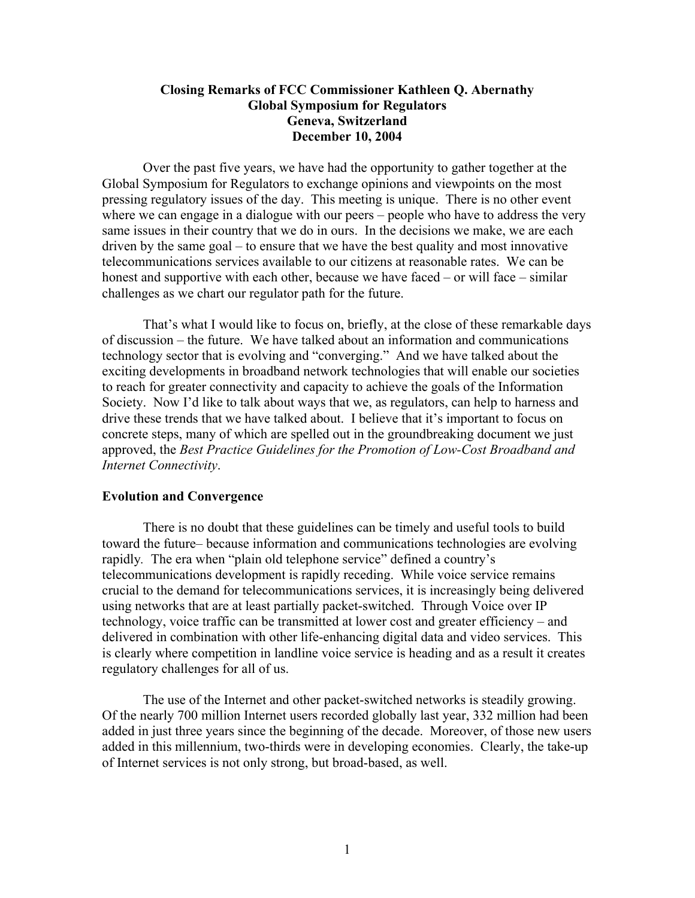# **Closing Remarks of FCC Commissioner Kathleen Q. Abernathy Global Symposium for Regulators Geneva, Switzerland December 10, 2004**

Over the past five years, we have had the opportunity to gather together at the Global Symposium for Regulators to exchange opinions and viewpoints on the most pressing regulatory issues of the day. This meeting is unique. There is no other event where we can engage in a dialogue with our peers – people who have to address the very same issues in their country that we do in ours. In the decisions we make, we are each driven by the same goal – to ensure that we have the best quality and most innovative telecommunications services available to our citizens at reasonable rates. We can be honest and supportive with each other, because we have faced – or will face – similar challenges as we chart our regulator path for the future.

That's what I would like to focus on, briefly, at the close of these remarkable days of discussion – the future. We have talked about an information and communications technology sector that is evolving and "converging." And we have talked about the exciting developments in broadband network technologies that will enable our societies to reach for greater connectivity and capacity to achieve the goals of the Information Society. Now I'd like to talk about ways that we, as regulators, can help to harness and drive these trends that we have talked about. I believe that it's important to focus on concrete steps, many of which are spelled out in the groundbreaking document we just approved, the *Best Practice Guidelines for the Promotion of Low-Cost Broadband and Internet Connectivity*.

## **Evolution and Convergence**

There is no doubt that these guidelines can be timely and useful tools to build toward the future– because information and communications technologies are evolving rapidly*.* The era when "plain old telephone service" defined a country's telecommunications development is rapidly receding. While voice service remains crucial to the demand for telecommunications services, it is increasingly being delivered using networks that are at least partially packet-switched. Through Voice over IP technology, voice traffic can be transmitted at lower cost and greater efficiency – and delivered in combination with other life-enhancing digital data and video services. This is clearly where competition in landline voice service is heading and as a result it creates regulatory challenges for all of us.

The use of the Internet and other packet-switched networks is steadily growing. Of the nearly 700 million Internet users recorded globally last year, 332 million had been added in just three years since the beginning of the decade. Moreover, of those new users added in this millennium, two-thirds were in developing economies. Clearly, the take-up of Internet services is not only strong, but broad-based, as well.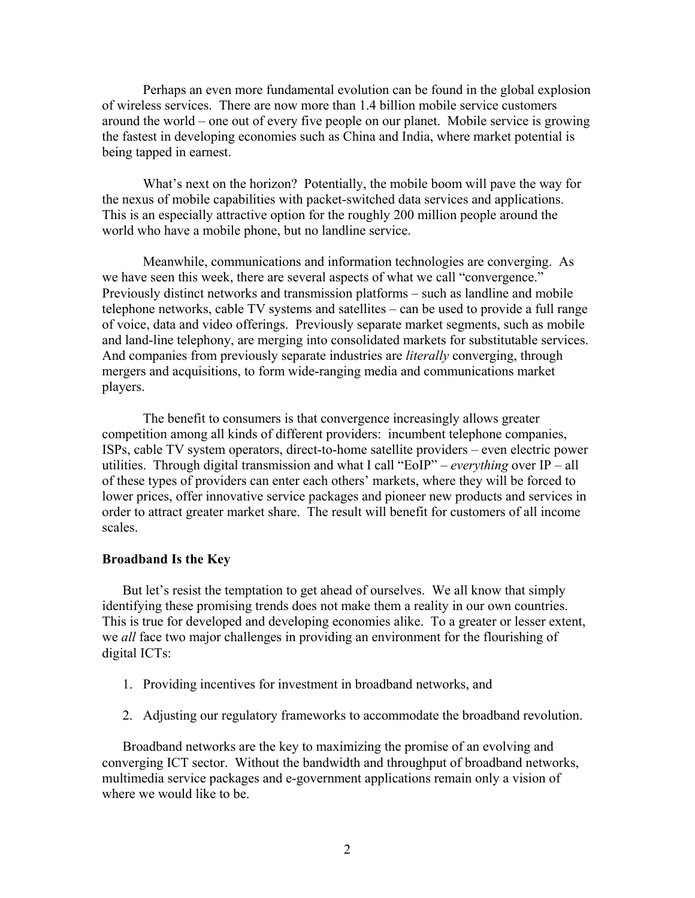Perhaps an even more fundamental evolution can be found in the global explosion of wireless services. There are now more than 1.4 billion mobile service customers around the world – one out of every five people on our planet. Mobile service is growing the fastest in developing economies such as China and India, where market potential is being tapped in earnest.

What's next on the horizon? Potentially, the mobile boom will pave the way for the nexus of mobile capabilities with packet-switched data services and applications. This is an especially attractive option for the roughly 200 million people around the world who have a mobile phone, but no landline service.

Meanwhile, communications and information technologies are converging. As we have seen this week, there are several aspects of what we call "convergence." Previously distinct networks and transmission platforms – such as landline and mobile telephone networks, cable TV systems and satellites – can be used to provide a full range of voice, data and video offerings. Previously separate market segments, such as mobile and land-line telephony, are merging into consolidated markets for substitutable services. And companies from previously separate industries are *literally* converging, through mergers and acquisitions, to form wide-ranging media and communications market players.

The benefit to consumers is that convergence increasingly allows greater competition among all kinds of different providers: incumbent telephone companies, ISPs, cable TV system operators, direct-to-home satellite providers – even electric power utilities. Through digital transmission and what I call "EoIP" – *everything* over IP – all of these types of providers can enter each others' markets, where they will be forced to lower prices, offer innovative service packages and pioneer new products and services in order to attract greater market share. The result will benefit for customers of all income scales.

#### **Broadband Is the Key**

But let's resist the temptation to get ahead of ourselves. We all know that simply identifying these promising trends does not make them a reality in our own countries. This is true for developed and developing economies alike. To a greater or lesser extent, we *all* face two major challenges in providing an environment for the flourishing of digital ICTs:

- 1. Providing incentives for investment in broadband networks, and
- 2. Adjusting our regulatory frameworks to accommodate the broadband revolution.

Broadband networks are the key to maximizing the promise of an evolving and converging ICT sector. Without the bandwidth and throughput of broadband networks, multimedia service packages and e-government applications remain only a vision of where we would like to be.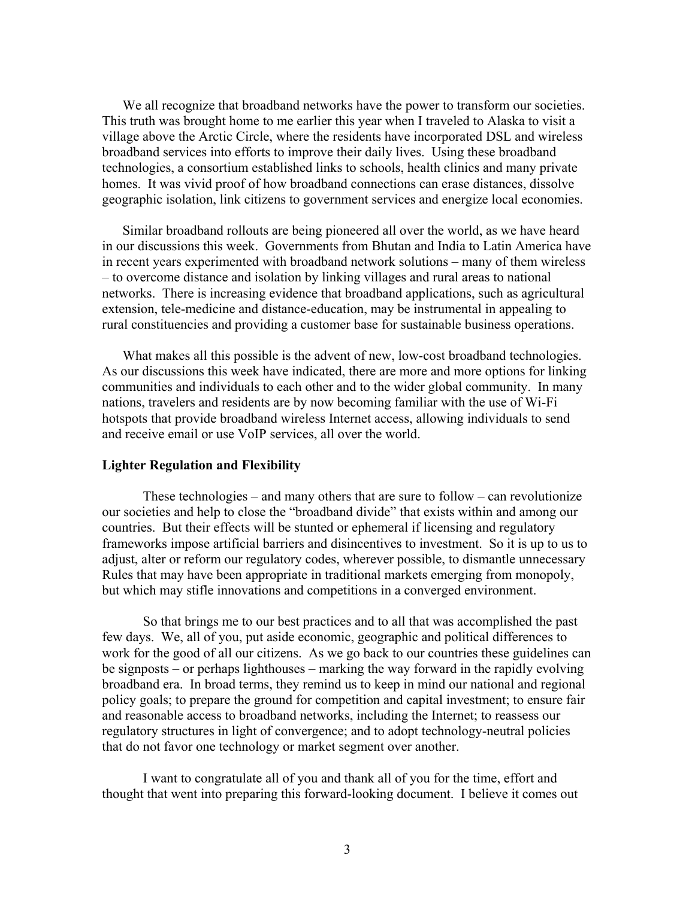We all recognize that broadband networks have the power to transform our societies. This truth was brought home to me earlier this year when I traveled to Alaska to visit a village above the Arctic Circle, where the residents have incorporated DSL and wireless broadband services into efforts to improve their daily lives. Using these broadband technologies, a consortium established links to schools, health clinics and many private homes. It was vivid proof of how broadband connections can erase distances, dissolve geographic isolation, link citizens to government services and energize local economies.

Similar broadband rollouts are being pioneered all over the world, as we have heard in our discussions this week. Governments from Bhutan and India to Latin America have in recent years experimented with broadband network solutions – many of them wireless – to overcome distance and isolation by linking villages and rural areas to national networks. There is increasing evidence that broadband applications, such as agricultural extension, tele-medicine and distance-education, may be instrumental in appealing to rural constituencies and providing a customer base for sustainable business operations.

What makes all this possible is the advent of new, low-cost broadband technologies. As our discussions this week have indicated, there are more and more options for linking communities and individuals to each other and to the wider global community. In many nations, travelers and residents are by now becoming familiar with the use of Wi-Fi hotspots that provide broadband wireless Internet access, allowing individuals to send and receive email or use VoIP services, all over the world.

## **Lighter Regulation and Flexibility**

These technologies – and many others that are sure to follow – can revolutionize our societies and help to close the "broadband divide" that exists within and among our countries. But their effects will be stunted or ephemeral if licensing and regulatory frameworks impose artificial barriers and disincentives to investment. So it is up to us to adjust, alter or reform our regulatory codes, wherever possible, to dismantle unnecessary Rules that may have been appropriate in traditional markets emerging from monopoly, but which may stifle innovations and competitions in a converged environment.

So that brings me to our best practices and to all that was accomplished the past few days. We, all of you, put aside economic, geographic and political differences to work for the good of all our citizens. As we go back to our countries these guidelines can be signposts – or perhaps lighthouses – marking the way forward in the rapidly evolving broadband era. In broad terms, they remind us to keep in mind our national and regional policy goals; to prepare the ground for competition and capital investment; to ensure fair and reasonable access to broadband networks, including the Internet; to reassess our regulatory structures in light of convergence; and to adopt technology-neutral policies that do not favor one technology or market segment over another.

I want to congratulate all of you and thank all of you for the time, effort and thought that went into preparing this forward-looking document. I believe it comes out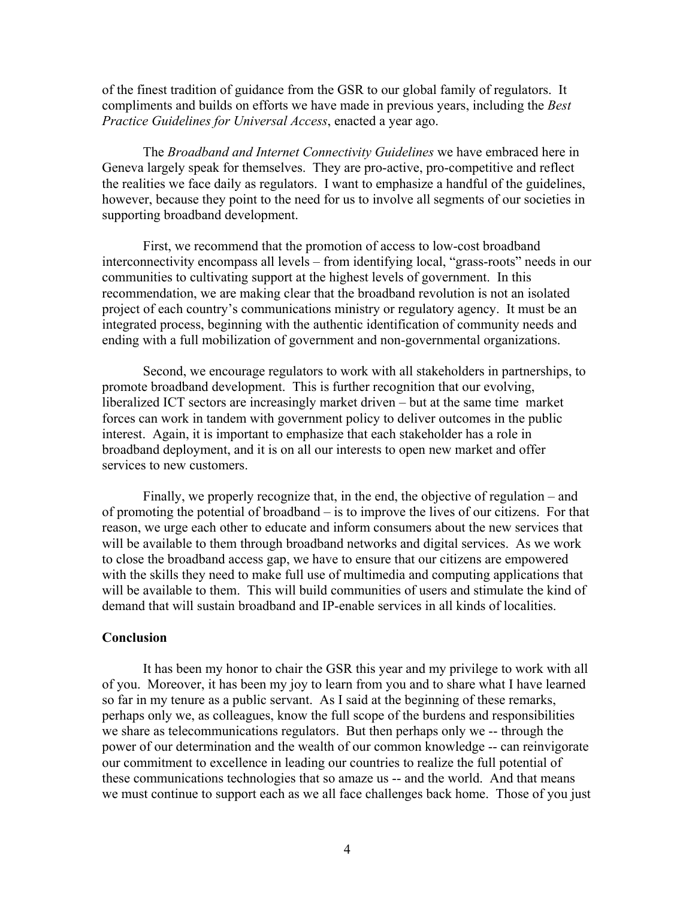of the finest tradition of guidance from the GSR to our global family of regulators. It compliments and builds on efforts we have made in previous years, including the *Best Practice Guidelines for Universal Access*, enacted a year ago.

The *Broadband and Internet Connectivity Guidelines* we have embraced here in Geneva largely speak for themselves. They are pro-active, pro-competitive and reflect the realities we face daily as regulators. I want to emphasize a handful of the guidelines, however, because they point to the need for us to involve all segments of our societies in supporting broadband development.

First, we recommend that the promotion of access to low-cost broadband interconnectivity encompass all levels – from identifying local, "grass-roots" needs in our communities to cultivating support at the highest levels of government. In this recommendation, we are making clear that the broadband revolution is not an isolated project of each country's communications ministry or regulatory agency. It must be an integrated process, beginning with the authentic identification of community needs and ending with a full mobilization of government and non-governmental organizations.

Second, we encourage regulators to work with all stakeholders in partnerships, to promote broadband development. This is further recognition that our evolving, liberalized ICT sectors are increasingly market driven – but at the same time market forces can work in tandem with government policy to deliver outcomes in the public interest. Again, it is important to emphasize that each stakeholder has a role in broadband deployment, and it is on all our interests to open new market and offer services to new customers.

Finally, we properly recognize that, in the end, the objective of regulation – and of promoting the potential of broadband – is to improve the lives of our citizens. For that reason, we urge each other to educate and inform consumers about the new services that will be available to them through broadband networks and digital services. As we work to close the broadband access gap, we have to ensure that our citizens are empowered with the skills they need to make full use of multimedia and computing applications that will be available to them. This will build communities of users and stimulate the kind of demand that will sustain broadband and IP-enable services in all kinds of localities.

### **Conclusion**

It has been my honor to chair the GSR this year and my privilege to work with all of you. Moreover, it has been my joy to learn from you and to share what I have learned so far in my tenure as a public servant. As I said at the beginning of these remarks, perhaps only we, as colleagues, know the full scope of the burdens and responsibilities we share as telecommunications regulators. But then perhaps only we -- through the power of our determination and the wealth of our common knowledge -- can reinvigorate our commitment to excellence in leading our countries to realize the full potential of these communications technologies that so amaze us -- and the world. And that means we must continue to support each as we all face challenges back home. Those of you just